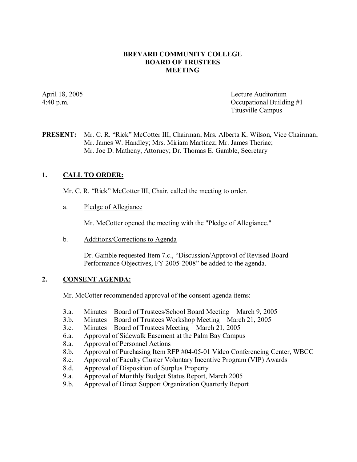#### **BREVARD COMMUNITY COLLEGE BOARD OF TRUSTEES MEETING**

April 18, 2005 Lecture Auditorium 4:40 p.m. Occupational Building #1 Titusville Campus

### **PRESENT:** Mr. C. R. "Rick" McCotter III, Chairman; Mrs. Alberta K. Wilson, Vice Chairman; Mr. James W. Handley; Mrs. Miriam Martinez; Mr. James Theriac; Mr. Joe D. Matheny, Attorney; Dr. Thomas E. Gamble, Secretary

## **1. CALL TO ORDER:**

Mr. C. R. "Rick" McCotter III, Chair, called the meeting to order.

a. Pledge of Allegiance

Mr. McCotter opened the meeting with the "Pledge of Allegiance."

b. Additions/Corrections to Agenda

Dr. Gamble requested Item 7.c., "Discussion/Approval of Revised Board Performance Objectives, FY 2005-2008" be added to the agenda.

### **2. CONSENT AGENDA:**

Mr. McCotter recommended approval of the consent agenda items:

- 3.a. Minutes Board of Trustees/School Board Meeting March 9, 2005
- 3.b. Minutes Board of Trustees Workshop Meeting March 21, 2005
- 3.c. Minutes Board of Trustees Meeting March 21, 2005
- 6.a. Approval of Sidewalk Easement at the Palm Bay Campus
- 8.a. Approval of Personnel Actions
- 8.b. Approval of Purchasing Item RFP #04-05-01 Video Conferencing Center, WBCC
- 8.c. Approval of Faculty Cluster Voluntary Incentive Program (VIP) Awards
- 8.d. Approval of Disposition of Surplus Property
- 9.a. Approval of Monthly Budget Status Report, March 2005
- 9.b. Approval of Direct Support Organization Quarterly Report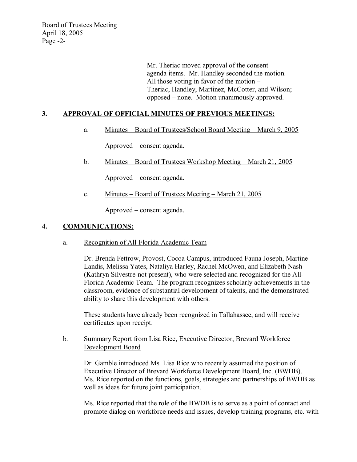Board of Trustees Meeting April 18, 2005 Page  $-2$ -

> Mr. Theriac moved approval of the consent agenda items. Mr. Handley seconded the motion. All those voting in favor of the motion – Theriac, Handley, Martinez, McCotter, and Wilson; opposed – none. Motion unanimously approved.

### **3. APPROVAL OF OFFICIAL MINUTES OF PREVIOUS MEETINGS:**

a. Minutes – Board of Trustees/School Board Meeting – March 9, 2005

Approved – consent agenda.

b. Minutes – Board of Trustees Workshop Meeting – March 21, 2005

Approved – consent agenda.

c. Minutes – Board of Trustees Meeting – March 21, 2005

Approved – consent agenda.

#### **4. COMMUNICATIONS:**

a. Recognition of All-Florida Academic Team

Dr. Brenda Fettrow, Provost, Cocoa Campus, introduced Fauna Joseph, Martine Landis, Melissa Yates, Nataliya Harley, Rachel McOwen, and Elizabeth Nash (Kathryn Silvestre-not present), who were selected and recognized for the All-Florida Academic Team. The program recognizes scholarly achievements in the classroom, evidence of substantial development of talents, and the demonstrated ability to share this development with others.

These students have already been recognized in Tallahassee, and will receive certificates upon receipt.

b. Summary Report from Lisa Rice, Executive Director, Brevard Workforce Development Board

Dr. Gamble introduced Ms. Lisa Rice who recently assumed the position of Executive Director of Brevard Workforce Development Board, Inc. (BWDB). Ms. Rice reported on the functions, goals, strategies and partnerships of BWDB as well as ideas for future joint participation.

Ms. Rice reported that the role of the BWDB is to serve as a point of contact and promote dialog on workforce needs and issues, develop training programs, etc. with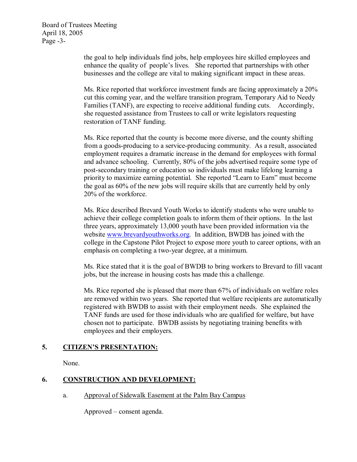Board of Trustees Meeting April 18, 2005 Page  $-3$ -

> the goal to help individuals find jobs, help employees hire skilled employees and enhance the quality of people's lives. She reported that partnerships with other businesses and the college are vital to making significant impact in these areas.

Ms. Rice reported that workforce investment funds are facing approximately a 20% cut this coming year, and the welfare transition program, Temporary Aid to Needy Families (TANF), are expecting to receive additional funding cuts. Accordingly, she requested assistance from Trustees to call or write legislators requesting restoration of TANF funding.

Ms. Rice reported that the county is become more diverse, and the county shifting from a goods-producing to a service-producing community. As a result, associated employment requires a dramatic increase in the demand for employees with formal and advance schooling. Currently, 80% of the jobs advertised require some type of post-secondary training or education so individuals must make lifelong learning a priority to maximize earning potential. She reported "Learn to Earn" must become the goal as 60% of the new jobs will require skills that are currently held by only 20% of the workforce.

Ms. Rice described Brevard Youth Works to identify students who were unable to achieve their college completion goals to inform them of their options. In the last three years, approximately 13,000 youth have been provided information via the website [www.brevardyouthworks.org.](http://www.brevardyouthworks.org/) In addition, BWDB has joined with the college in the Capstone Pilot Project to expose more youth to career options, with an emphasis on completing a two-year degree, at a minimum.

Ms. Rice stated that it is the goal of BWDB to bring workers to Brevard to fill vacant jobs, but the increase in housing costs has made this a challenge.

Ms. Rice reported she is pleased that more than 67% of individuals on welfare roles are removed within two years. She reported that welfare recipients are automatically registered with BWDB to assist with their employment needs. She explained the TANF funds are used for those individuals who are qualified for welfare, but have chosen not to participate. BWDB assists by negotiating training benefits with employees and their employers.

## **5. CITIZEN'S PRESENTATION:**

None.

# **6. CONSTRUCTION AND DEVELOPMENT:**

a. Approval of Sidewalk Easement at the Palm Bay Campus

Approved – consent agenda.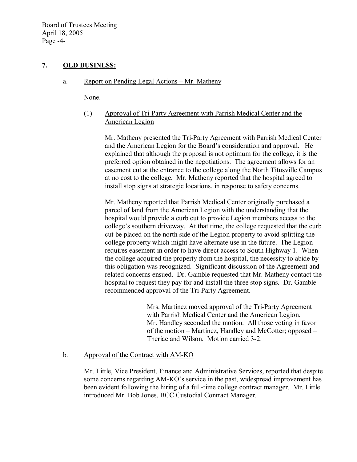Board of Trustees Meeting April 18, 2005 Page -4-

### **7. OLD BUSINESS:**

### a. Report on Pending Legal Actions – Mr. Matheny

None.

(1) Approval of Tri-Party Agreement with Parrish Medical Center and the American Legion

Mr. Matheny presented the Tri-Party Agreement with Parrish Medical Center and the American Legion for the Board's consideration and approval. He explained that although the proposal is not optimum forthe college, it is the preferred option obtained in the negotiations. The agreement allows for an easement cut at the entrance to the college along the North Titusville Campus at no cost to the college. Mr. Matheny reported that the hospital agreed to install stop signs at strategic locations, in response to safety concerns.

Mr. Matheny reported that Parrish Medical Center originally purchased a parcel of land from the American Legion with the understanding that the hospital would provide a curb cut to provide Legion members access to the college's southern driveway. At that time, the college requested that the curb cut be placed on the north side of the Legion property to avoid splitting the college property which might have alternate use in the future. The Legion requires easement in order to have direct access to South Highway 1. When the college acquired the property from the hospital, the necessity to abide by this obligation was recognized. Significant discussion of the Agreement and related concerns ensued. Dr. Gamble requested that Mr. Matheny contact the hospital to request they pay for and install the three stop signs. Dr. Gamble recommended approval of the Tri-Party Agreement.

> Mrs. Martinez moved approval of the Tri-Party Agreement with Parrish Medical Center and the American Legion. Mr. Handley seconded the motion. All those voting in favor of the motion – Martinez, Handley and McCotter; opposed – Theriac and Wilson. Motion carried 3-2.

## b. Approval of the Contract with AM-KO

Mr. Little, Vice President, Finance and Administrative Services, reported that despite some concerns regarding AM-KO's service in the past, widespread improvement has been evident following the hiring of a full-time college contract manager. Mr. Little introduced Mr. Bob Jones, BCC Custodial Contract Manager.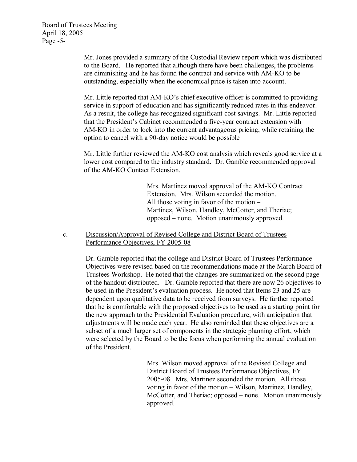Mr. Jones provided a summary of the Custodial Review report which was distributed to the Board. He reported that although there have been challenges, the problems are diminishing and he has found the contract and service with AM-KO to be outstanding, especially when the economical price is taken into account.

Mr. Little reported that AM-KO's chief executive officer is committed to providing service in support of education and has significantly reduced rates in this endeavor. As a result, the college has recognized significant cost savings. Mr. Little reported that the President's Cabinet recommended a five-year contract extension with AMKO in order to lock into the current advantageous pricing, while retaining the option to cancel with a 90-day notice would be possible

Mr. Little further reviewed the AM-KO cost analysis which reveals good service at a lower cost compared to the industry standard. Dr. Gamble recommended approval of the AM-KO Contact Extension.

> Mrs. Martinez moved approval of the AM-KO Contract Extension. Mrs. Wilson seconded the motion. All those voting in favor of the motion – Martinez, Wilson, Handley, McCotter, and Theriac; opposed – none. Motion unanimously approved.

c. Discussion/Approval of Revised College and District Board of Trustees Performance Objectives, FY 2005-08

> Dr. Gamble reported that the college and District Board of Trustees Performance Objectives were revised based on the recommendations made at the March Board of Trustees Workshop. He noted that the changes are summarized on the second page of the handout distributed. Dr. Gamble reported that there are now 26 objectives to be used in the President's evaluation process. He noted that Items 23 and 25 are dependent upon qualitative data to be received from surveys. He further reported that he is comfortable with the proposed objectives to be used as a starting point for the new approach to the Presidential Evaluation procedure, with anticipation that adjustments will be made each year. He also reminded that these objectives are a subset of a much larger set of components in the strategic planning effort, which were selected by the Board to be the focus when performing the annual evaluation of the President.

> > Mrs. Wilson moved approval of the Revised College and District Board of Trustees Performance Objectives, FY 2005-08. Mrs. Martinez seconded the motion. All those voting in favor of the motion – Wilson, Martinez, Handley, McCotter, and Theriac; opposed – none. Motion unanimously approved.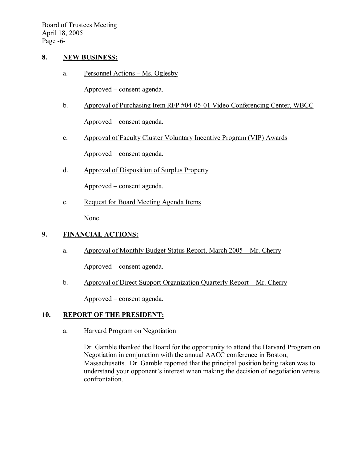Board of Trustees Meeting April 18, 2005 Page  $-6$ -

#### **8. NEW BUSINESS:**

a. Personnel Actions – Ms. Oglesby

Approved – consent agenda.

- b. Approval of Purchasing Item RFP #04-05-01 Video Conferencing Center, WBCC Approved – consent agenda.
- c. Approval of Faculty Cluster Voluntary Incentive Program (VIP) Awards

Approved – consent agenda.

d. Approval of Disposition of Surplus Property

Approved – consent agenda.

e. Request for Board Meeting Agenda Items

None.

### **9. FINANCIAL ACTIONS:**

a. Approval of Monthly Budget Status Report, March 2005 – Mr. Cherry

Approved – consent agenda.

b. Approval of Direct Support Organization Quarterly Report – Mr. Cherry

Approved – consent agenda.

## **10. REPORT OF THE PRESIDENT:**

a. Harvard Program on Negotiation

Dr. Gamble thanked the Board for the opportunity to attend the Harvard Program on Negotiation in conjunction with the annual AACC conference in Boston, Massachusetts. Dr. Gamble reported that the principal position being taken was to understand your opponent's interest when making the decision of negotiation versus confrontation.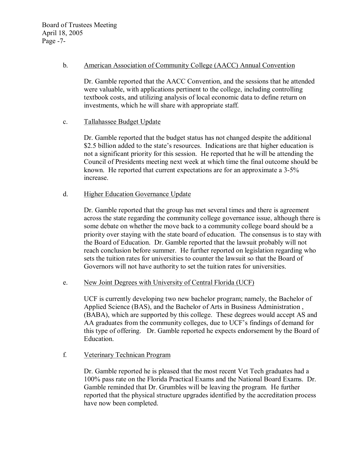#### b. American Association of Community College (AACC) Annual Convention

Dr. Gamble reported that the AACC Convention, and the sessions that he attended were valuable, with applications pertinent to the college, including controlling textbook costs, and utilizing analysis of local economic data to define return on investments, which he will share with appropriate staff.

### c. Tallahassee Budget Update

Dr. Gamble reported that the budget status has not changed despite the additional \$2.5 billion added to the state's resources. Indications are that higher education is not a significant priority for this session. He reported that he will be attending the Council of Presidents meeting next week at which time the final outcome should be known. He reported that current expectations are for an approximate a  $3-5\%$ increase.

### d. Higher Education Governance Update

Dr. Gamble reported that the group has met several times and there is agreement across the state regarding the community college governance issue, although there is some debate on whether the move back to a community college board should be a priority over staying with the state board of education. The consensus is to stay with the Board of Education. Dr. Gamble reported that the lawsuit probably will not reach conclusion before summer. He further reported on legislation regarding who sets the tuition rates for universities to counter the lawsuit so that the Board of Governors will not have authority to set the tuition rates for universities.

#### e. New Joint Degrees with University of Central Florida (UCF)

UCF is currently developing two new bachelor program; namely, the Bachelor of Applied Science (BAS), and the Bachelor of Arts in Business Administration , (BABA), which are supported by this college. These degrees would accept AS and AA graduates from the community colleges, due to UCF's findings of demand for this type of offering. Dr. Gamble reported he expects endorsement by the Board of Education.

## f. Veterinary Technican Program

Dr. Gamble reported he is pleased that the most recent Vet Tech graduates had a 100% pass rate on the Florida Practical Exams and the National Board Exams. Dr. Gamble reminded that Dr. Grumbles will be leaving the program. He further reported that the physical structure upgrades identified by the accreditation process have now been completed.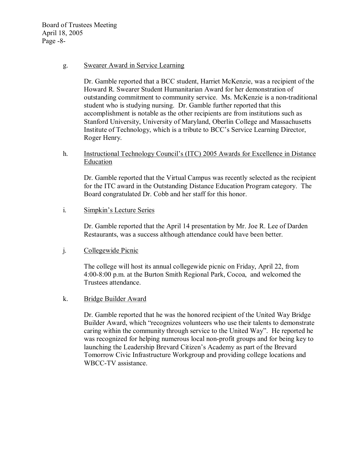Board of Trustees Meeting April 18, 2005 Page  $-8$ -

#### g. Swearer Award in Service Learning

Dr. Gamble reported that a BCC student, Harriet McKenzie, was a recipient of the Howard R. Swearer Student Humanitarian Award for her demonstration of outstanding commitment to community service. Ms. McKenzie is a nontraditional student who is studying nursing. Dr. Gamble further reported that this accomplishment is notable as the other recipients are from institutions such as Stanford University, University of Maryland, Oberlin College and Massachusetts Institute of Technology, which is a tribute to BCC's Service Learning Director, Roger Henry.

### h. Instructional Technology Council's (ITC) 2005 Awards for Excellence in Distance **Education**

Dr. Gamble reported that the Virtual Campus was recently selected as the recipient for the ITC award in the Outstanding Distance Education Program category. The Board congratulated Dr. Cobb and her staff for this honor.

## i. Simpkin's Lecture Series

Dr. Gamble reported that the April 14 presentation by Mr. Joe R. Lee of Darden Restaurants, was a success although attendance could have been better.

### j. Collegewide Picnic

The college will host its annual collegewide picnic on Friday, April 22, from 4:00-8:00 p.m. at the Burton Smith Regional Park, Cocoa, and welcomed the Trustees attendance.

#### k. Bridge Builder Award

Dr. Gamble reported that he was the honored recipient of the United Way Bridge Builder Award, which "recognizes volunteers who use their talents to demonstrate caring within the community through service to the United Way". He reported he was recognized for helping numerous local non-profit groups and for being key to launching the Leadership Brevard Citizen's Academy as part of the Brevard Tomorrow Civic Infrastructure Workgroup and providing college locations and WBCC-TV assistance.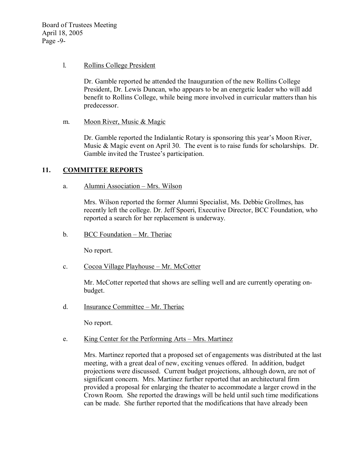Board of Trustees Meeting April 18, 2005 Page  $-9-$ 

#### l. Rollins College President

Dr. Gamble reported he attended the Inauguration of the new Rollins College President, Dr. Lewis Duncan, who appears to be an energetic leader who will add benefit to Rollins College, while being more involved in curricular matters than his predecessor.

m. Moon River, Music & Magic

Dr. Gamble reported the Indialantic Rotary is sponsoring this year's Moon River, Music & Magic event on April 30. The event is to raise funds for scholarships. Dr. Gamble invited the Trustee's participation.

## **11. COMMITTEE REPORTS**

### a. Alumni Association – Mrs. Wilson

Mrs. Wilson reported the former Alumni Specialist, Ms. Debbie Grollmes, has recently left the college. Dr. Jeff Spoeri, Executive Director, BCC Foundation, who reported a search for her replacement is underway.

b. BCC Foundation – Mr. Theriac

No report.

c. Cocoa Village Playhouse – Mr. McCotter

Mr. McCotter reported that shows are selling well and are currently operating on budget.

d. Insurance Committee – Mr. Theriac

No report.

## e. King Center for the Performing Arts – Mrs. Martinez

Mrs. Martinez reported that a proposed set of engagements was distributed at the last meeting, with a great deal of new, exciting venues offered. In addition, budget projections were discussed. Current budget projections, although down, are not of significant concern. Mrs. Martinez further reported that an architectural firm provided a proposal for enlarging the theater to accommodate a larger crowd in the Crown Room. She reported the drawings will be held until such time modifications can be made. She further reported that the modifications that have already been